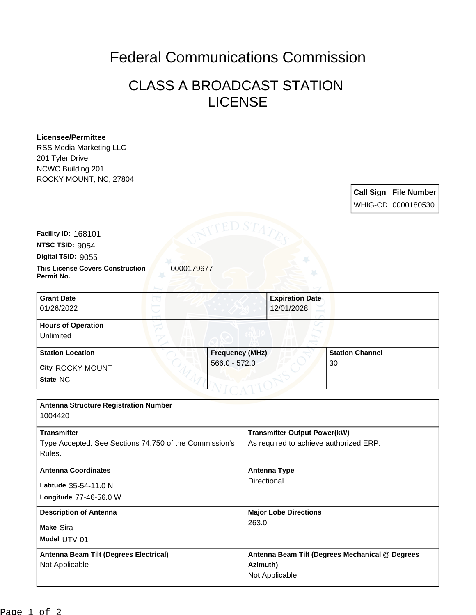## Federal Communications Commission

## CLASS A BROADCAST STATION LICENSE

## **Licensee/Permittee**

RSS Media Marketing LLC 201 Tyler Drive NCWC Building 201 ROCKY MOUNT, NC, 27804

> **Call Sign File Number** WHIG-CD 0000180530

**Facility ID:** 168101

**NTSC TSID:** 9054

**Digital TSID:** 9055

**This License Covers Construction** 0000179677 **Permit No.**

**State** NC **City** ROCKY MOUNT **Grant Date** 01/26/2022 **Expiration Date** 12/01/2028 **Hours of Operation** Unlimited **Station Location Frequency (MHz)** 566.0 - 572.0 **Station Channel** 30

| <b>Antenna Structure Registration Number</b><br>1004420                                |                                                                               |
|----------------------------------------------------------------------------------------|-------------------------------------------------------------------------------|
| <b>Transmitter</b><br>Type Accepted. See Sections 74.750 of the Commission's<br>Rules. | <b>Transmitter Output Power(kW)</b><br>As required to achieve authorized ERP. |
| <b>Antenna Coordinates</b><br>Latitude 35-54-11.0 N<br>Longitude 77-46-56.0 W          | <b>Antenna Type</b><br>Directional                                            |
| <b>Description of Antenna</b><br>Make Sira<br>Model UTV-01                             | <b>Major Lobe Directions</b><br>263.0                                         |
| Antenna Beam Tilt (Degrees Electrical)<br>Not Applicable                               | Antenna Beam Tilt (Degrees Mechanical @ Degrees<br>Azimuth)<br>Not Applicable |